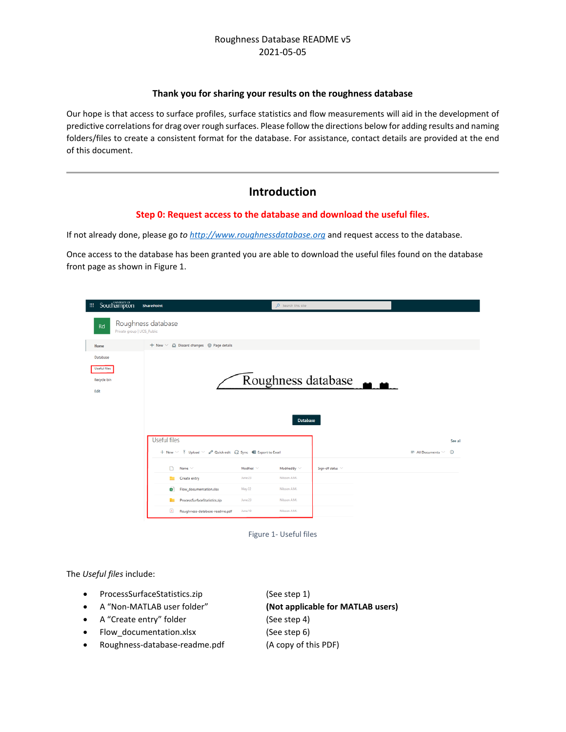#### **Thank you for sharing your results on the roughness database**

Our hope is that access to surface profiles, surface statistics and flow measurements will aid in the development of predictive correlations for drag over rough surfaces. Please follow the directions below for adding results and naming folders/files to create a consistent format for the database. For assistance, contact details are provided at the end of this document.

## **Introduction**

#### **Step 0: Request access to the database and download the useful files.**

If not already done, please go *to [http://www.roughnessdatabase.org](http://www.roughnessdatabase.org/)* and request access to the database.

Once access to the database has been granted you are able to download the useful files found on the database front page as shown in Figure 1.

| Southampton<br>扭                                | <b>SharePoint</b>                                                      | D Search this site               |                                  |                                          |
|-------------------------------------------------|------------------------------------------------------------------------|----------------------------------|----------------------------------|------------------------------------------|
| Rd<br>Private group   UOS_Public                | Roughness database                                                     |                                  |                                  |                                          |
| Home                                            | $+$ New $\vee$ $\triangle$ Discard changes $\circledcirc$ Page details |                                  |                                  |                                          |
| Database<br>Useful files<br>Recycle bin<br>Edit |                                                                        | <b>Database</b>                  | Roughness database $\rightarrow$ |                                          |
|                                                 | <b>Useful files</b>                                                    |                                  |                                  | See all                                  |
|                                                 | + New ▽ 予 Upload ▽ 2 Quick edit G Sync   B Export to Excel             |                                  |                                  | $\equiv$ All Documents $\vee$<br>$\odot$ |
|                                                 | n.<br>Name ~                                                           | Modified V<br>Modified By $\vee$ | Sign-off status V                |                                          |
|                                                 | Create entry                                                           | Nilsson A.M.<br>June 23          |                                  |                                          |
|                                                 | Flow_documentation.xlsx<br>ø١                                          | May 22<br>Nilsson A.M.           |                                  |                                          |
|                                                 | ProcessSurfaceStatistics.zip                                           | Nilsson A.M.<br>June 23          |                                  |                                          |
|                                                 | $\mathcal{S}_1$<br>Roughness-database-readme.pdf                       | June 19<br>Nilsson A.M.          |                                  |                                          |

Figure 1- Useful files

The *Useful files* include:

- ProcessSurfaceStatistics.zip (See step 1)
	-
- A "Non-MATLAB user folder" **(Not applicable for MATLAB users)**
- A "Create entry" folder (See step 4)
- 
- Flow\_documentation.xlsx (See step 6)
- Roughness-database-readme.pdf (A copy of this PDF)
-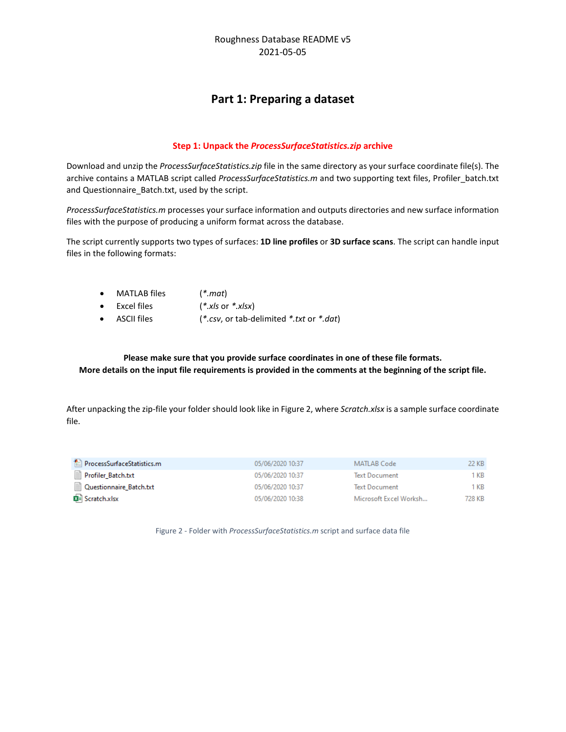# **Part 1: Preparing a dataset**

#### **Step 1: Unpack the** *ProcessSurfaceStatistics.zip* **archive**

Download and unzip the *ProcessSurfaceStatistics.zip* file in the same directory as your surface coordinate file(s). The archive contains a MATLAB script called *ProcessSurfaceStatistics.m* and two supporting text files, Profiler\_batch.txt and Questionnaire\_Batch.txt, used by the script.

*ProcessSurfaceStatistics.m* processes your surface information and outputs directories and new surface information files with the purpose of producing a uniform format across the database.

The script currently supports two types of surfaces: **1D line profiles** or **3D surface scans**. The script can handle input files in the following formats:

- MATLAB files (*\*.mat*)
- Excel files (*\*.xls* or *\*.xlsx*)
- ASCII files (*\*.csv*, or tab-delimited *\*.txt* or *\*.dat*)

**Please make sure that you provide surface coordinates in one of these file formats. More details on the input file requirements is provided in the comments at the beginning of the script file.**

After unpacking the zip-file your folder should look like in Figure 2, where *Scratch.xlsx* is a sample surface coordinate file.

| ProcessSurfaceStatistics.m | 05/06/2020 10:37 | MATLAB Code            | 22 KB . |
|----------------------------|------------------|------------------------|---------|
| ■ Profiler_Batch.txt       | 05/06/2020 10:37 | <b>Text Document</b>   | KB      |
| Questionnaire_Batch.txt    | 05/06/2020 10:37 | <b>Text Document</b>   | l KB    |
| <b>B</b> Scratch.xlsx      | 05/06/2020 10:38 | Microsoft Excel Worksh | 728 KB  |

Figure 2 - Folder with *ProcessSurfaceStatistics.m* script and surface data file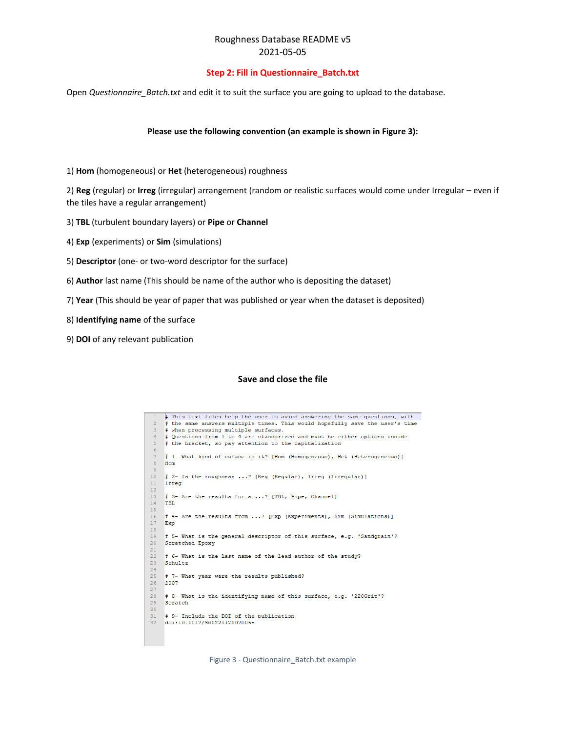#### **Step 2: Fill in Questionnaire\_Batch.txt**

Open *Questionnaire\_Batch.txt* and edit it to suit the surface you are going to upload to the database.

#### **Please use the following convention (an example is shown in Figure 3):**

1) **Hom** (homogeneous) or **Het** (heterogeneous) roughness

2) **Reg** (regular) or **Irreg** (irregular) arrangement (random or realistic surfaces would come under Irregular – even if the tiles have a regular arrangement)

- 3) **TBL** (turbulent boundary layers) or **Pipe** or **Channel**
- 4) **Exp** (experiments) or **Sim** (simulations)
- 5) **Descriptor** (one- or two-word descriptor for the surface)
- 6) **Author** last name (This should be name of the author who is depositing the dataset)
- 7) **Year** (This should be year of paper that was published or year when the dataset is deposited)
- 8) **Identifying name** of the surface
- 9) **DOI** of any relevant publication

#### **Save and close the file**



Figure 3 - Questionnaire\_Batch.txt example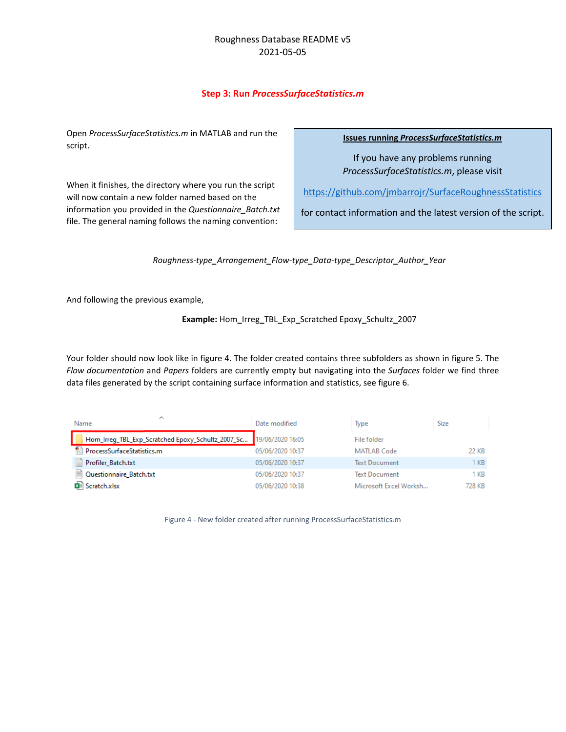## **Step 3: Run** *ProcessSurfaceStatistics.m*

Open *ProcessSurfaceStatistics.m* in MATLAB and run the script.

When it finishes, the directory where you run the script will now contain a new folder named based on the information you provided in the *Questionnaire\_Batch.txt* file. The general naming follows the naming convention:

**Issues running** *ProcessSurfaceStatistics.m*

If you have any problems running *ProcessSurfaceStatistics.m*, please visit

<https://github.com/jmbarrojr/SurfaceRoughnessStatistics>

for contact information and the latest version of the script.

*Roughness-type\_Arrangement\_Flow-type\_Data-type\_Descriptor\_Author\_Year*

And following the previous example,

**Example:** Hom**\_**Irreg**\_**TBL**\_**Exp**\_**Scratched Epoxy**\_**Schultz**\_**2007

Your folder should now look like in figure 4. The folder created contains three subfolders as shown in figure 5. The *Flow documentation* and *Papers* folders are currently empty but navigating into the *Surfaces* folder we find three data files generated by the script containing surface information and statistics, see figure 6.

| ᄉ<br>Name                                                          | Date modified    | Type                   | Size   |
|--------------------------------------------------------------------|------------------|------------------------|--------|
| Hom_Irreg_TBL_Exp_Scratched Epoxy_Schultz_2007_Sc 19/06/2020 16:05 |                  | File folder            |        |
| ProcessSurfaceStatistics.m                                         | 05/06/2020 10:37 | MATLAB Code            | 22 KB  |
| Profiler Batch.txt                                                 | 05/06/2020 10:37 | <b>Text Document</b>   | KB     |
| ■ Questionnaire_Batch.txt                                          | 05/06/2020 10:37 | <b>Text Document</b>   | 1 KB   |
| Scratch.xlsx                                                       | 05/06/2020 10:38 | Microsoft Excel Worksh | 728 KB |

Figure 4 - New folder created after running ProcessSurfaceStatistics.m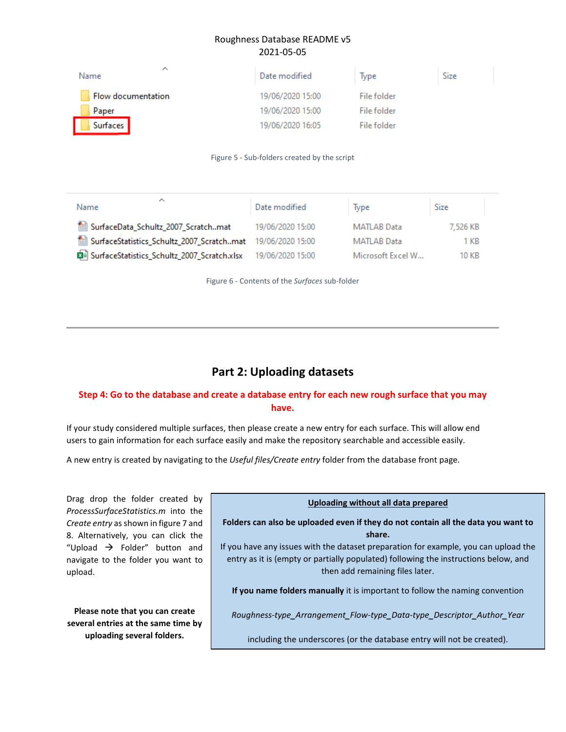| ㅅ<br>Name          | Date modified    | lype        | <b>Size</b> |
|--------------------|------------------|-------------|-------------|
| Flow documentation | 19/06/2020 15:00 | File folder |             |
| Paper              | 19/06/2020 15:00 | File folder |             |
| Surfaces           | 19/06/2020 16:05 | File folder |             |

#### Figure 5 - Sub-folders created by the script

| ́<br>Name                                                  | Date modified    | Type              | Size     |  |
|------------------------------------------------------------|------------------|-------------------|----------|--|
| SurfaceData_Schultz_2007_Scratchmat                        | 19/06/2020 15:00 | MATLAB Data       | 7,526 KB |  |
| SurfaceStatistics_Schultz_2007_Scratchmat 19/06/2020 15:00 |                  | MATLAB Data       | 1 KB     |  |
| SurfaceStatistics_Schultz_2007_Scratch.xlsx                | 19/06/2020 15:00 | Microsoft Excel W | 10 KB    |  |

Figure 6 - Contents of the *Surfaces* sub-folder

# **Part 2: Uploading datasets**

## **Step 4: Go to the database and create a database entry for each new rough surface that you may have.**

If your study considered multiple surfaces, then please create a new entry for each surface. This will allow end users to gain information for each surface easily and make the repository searchable and accessible easily.

A new entry is created by navigating to the *Useful files/Create entry* folder from the database front page.

Drag drop the folder created by *ProcessSurfaceStatistics.m* into the *Create entry* as shown in figure 7 and 8. Alternatively, you can click the "Upload  $\rightarrow$  Folder" button and navigate to the folder you want to upload.

**Please note that you can create several entries at the same time by uploading several folders.**

#### **Uploading without all data prepared**

**Folders can also be uploaded even if they do not contain all the data you want to share.** 

If you have any issues with the dataset preparation for example, you can upload the entry as it is (empty or partially populated) following the instructions below, and then add remaining files later.

**If you name folders manually** it is important to follow the naming convention

*Roughness-type\_Arrangement\_Flow-type\_Data-type\_Descriptor\_Author\_Year*

including the underscores (or the database entry will not be created).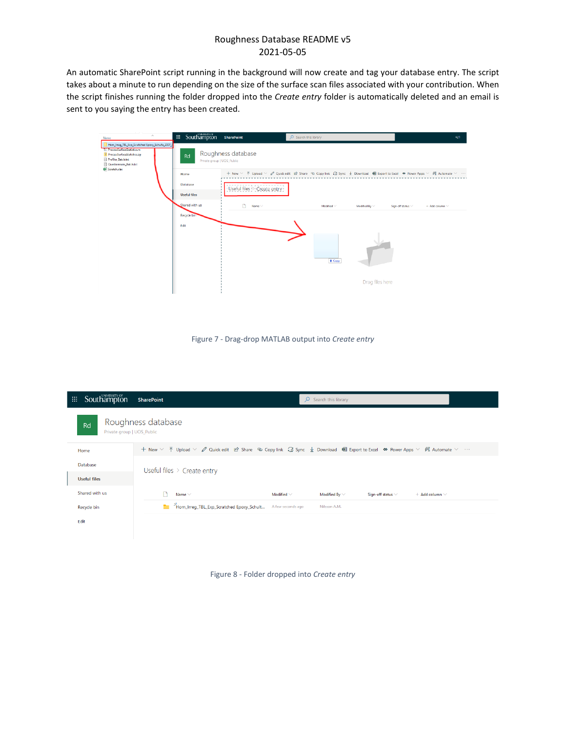An automatic SharePoint script running in the background will now create and tag your database entry. The script takes about a minute to run depending on the size of the surface scan files associated with your contribution. When the script finishes running the folder dropped into the *Create entry* folder is automatically deleted and an email is sent to you saying the entry has been created.

| $\mathcal{A}_1$<br>Name                                                                                                                                         | ::: Southampton                  | <b>SharePoint</b>           | $O$ Search this library                                                                                               | $\blacksquare$                                  |
|-----------------------------------------------------------------------------------------------------------------------------------------------------------------|----------------------------------|-----------------------------|-----------------------------------------------------------------------------------------------------------------------|-------------------------------------------------|
| Hom_Irreg_TBL_Exp_Scratched Epoxy_Schultz_2007_9<br>ProcessSurfaceStatistics.m<br>ProcessSurfaceStatistics.zip<br>Profiler_Batch.txt<br>Questionnaire_Batch.txt | Rd<br>Private group   UOS_Public | Roughness database          |                                                                                                                       |                                                 |
| <b>Q</b> Scratch.xlsx                                                                                                                                           | Home                             |                             | + New √ T Upload √ Ø Quick edit Let Share © Copy link C Sync ↓ Download B Export to Excel � Power Apps √ B Automate √ |                                                 |
|                                                                                                                                                                 | Database                         | Useful files > Create entry |                                                                                                                       |                                                 |
|                                                                                                                                                                 | <b>Useful files</b>              |                             |                                                                                                                       |                                                 |
|                                                                                                                                                                 | Shared with us                   | m.<br>Name ~                | Modified ~<br>Modified By $\vee$                                                                                      | Sign-off status $\vee$<br>$+$ Add column $\vee$ |
|                                                                                                                                                                 | Recycle bin                      |                             |                                                                                                                       |                                                 |
|                                                                                                                                                                 | Edit                             |                             | + Copy<br>Drag files here                                                                                             |                                                 |

Figure 7 - Drag-drop MATLAB output into *Create entry*

| 噩 | Southampton                      | <b>SharePoint</b><br>$\overline{Q}$ Search this library                                                                                                                                              |  |  |  |  |  |
|---|----------------------------------|------------------------------------------------------------------------------------------------------------------------------------------------------------------------------------------------------|--|--|--|--|--|
|   | Rd<br>Private group   UOS_Public | Roughness database                                                                                                                                                                                   |  |  |  |  |  |
|   | Home                             | + New $\vee$ $\bar{\uparrow}$ Upload $\vee$ $\varnothing$ Quick edit Le Share © Copy link $\Box$ Sync $\bot$ Download 咽 Export to Excel � Power Apps $\vee$ $\mathscr{B}_4$ Automate $\vee$ $\cdots$ |  |  |  |  |  |
|   | Database                         | Useful files $\geq$ Create entry                                                                                                                                                                     |  |  |  |  |  |
|   | <b>Useful files</b>              |                                                                                                                                                                                                      |  |  |  |  |  |
|   | Shared with us                   | Name $\vee$<br>Modified By $\vee$<br>Modified $\vee$<br>Sign-off status $\vee$<br>$+$ Add column $\vee$                                                                                              |  |  |  |  |  |
|   | Recycle bin                      | <sup>2</sup> Hom Irreq TBL Exp Scratched Epoxy Schult<br>A few seconds ago<br>Nilsson A.M.                                                                                                           |  |  |  |  |  |
|   | Edit                             |                                                                                                                                                                                                      |  |  |  |  |  |
|   |                                  |                                                                                                                                                                                                      |  |  |  |  |  |

Figure 8 - Folder dropped into *Create entry*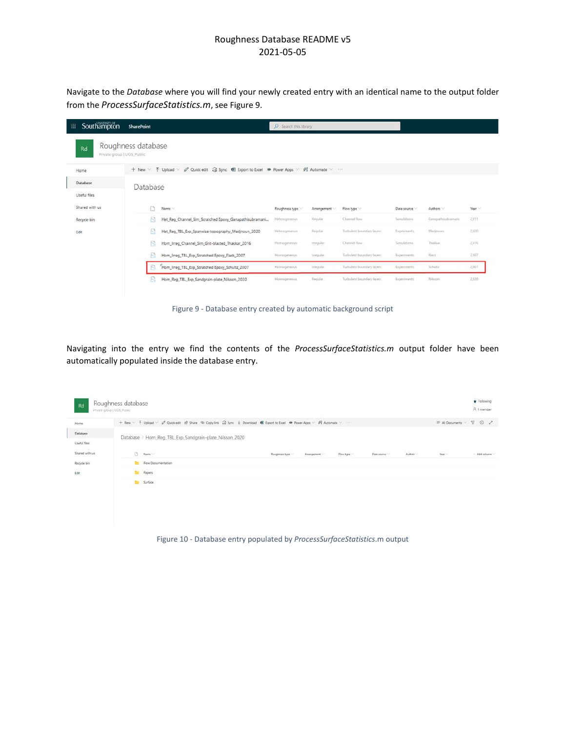Navigate to the *Database* where you will find your newly created entry with an identical name to the output folder from the *ProcessSurfaceStatistics.m*, see Figure 9.

| Southampton<br>曲<br><b>SharePoint</b> |                                                                                        | O Search this library |                |                           |             |                 |                       |  |
|---------------------------------------|----------------------------------------------------------------------------------------|-----------------------|----------------|---------------------------|-------------|-----------------|-----------------------|--|
| Rd<br>Private group   UOS_Public      | Roughness database                                                                     |                       |                |                           |             |                 |                       |  |
| Home                                  | + New ▽ 予 Upload ▽ 2 Quick edit Co Sync   Export to Excel & Power Apps ▽ P& Automate ▽ |                       |                |                           |             |                 |                       |  |
| Database                              | Database                                                                               |                       |                |                           |             |                 |                       |  |
| Useful files                          |                                                                                        |                       |                |                           |             |                 |                       |  |
| Shared with us                        | n<br>Name                                                                              | Roughness type        | Arrangement    | Flow type                 | Data source | Authors         | <b>SANTA</b><br>Year. |  |
| Recycle bin                           | B<br>Het_Reg_Channel_Sim_Scratched Epoxy_Ganapathisubramani                            | Heterogeneous         | <b>Regular</b> | Channel flow              | Simulations | Gampathoubramam | 2,011                 |  |
| Edit                                  | ß<br>Het_Reg_TBL_Exp_Spanwise-topography_Medjnoun_2020                                 | Heleidgeneurs         | Regular        | Turbulent boundary layers | Experiments | Medinouni       | 2,020                 |  |
|                                       | B<br>Hom_Irreg_Channel_Sim_Grit-blasted_Thakkar_2016                                   | Homogeneous           | Teregular.     | Channel flow              | Simulations | Thakkay         | 2,016                 |  |
|                                       | a<br>Hom_Irreg_TBL_Exp_Scratched Epoxy_Flack_2007                                      | Homogeneous           | frrequise      | Turbulent boundary layers | Experiments | <b>Flack</b>    | 2,007                 |  |
|                                       | "Hom_Irreg_TBL_Exp_Scratched Epoxy_Schultz_2007                                        | Homogeneous           | Imegular       | Turbulent boundary fayers | Experiments | Schultz         | 2,007                 |  |
|                                       | R<br>Hom_Reg_TBL_Exp_Sandgrain-plate_Nilsson_2020                                      | Homogeneout           | Regular        | Turbulent boundary layers | Experiments | Niáccon         | 2,020                 |  |

Figure 9 - Database entry created by automatic background script

Navigating into the entry we find the contents of the *ProcessSurfaceStatistics.m* output folder have been automatically populated inside the database entry.

| Rd                       | Roughness database<br>Private group   UOS_Public |                                                         |                                                                                                                                                                                                                                                                                                                                                                                                                                                                                         |             |           |             |          |                                                                                                                     | $\star$ Following<br>R 1 member |
|--------------------------|--------------------------------------------------|---------------------------------------------------------|-----------------------------------------------------------------------------------------------------------------------------------------------------------------------------------------------------------------------------------------------------------------------------------------------------------------------------------------------------------------------------------------------------------------------------------------------------------------------------------------|-------------|-----------|-------------|----------|---------------------------------------------------------------------------------------------------------------------|---------------------------------|
| Home                     |                                                  |                                                         | + New < T Upload < <i>D</i> Quick edit ist Share<br><br>Copy link <a> C Sync <br/> <br/> <math display="block">\frac{1}{2}</math> Download <br/> <br/> <br> <br> <br/> <br/> <br/> <br/> <br/> <br/> <br/> <br/> <br/> <br/> <br/> <br/> <br/> <br/> <br <="" td=""/><td></td><td></td><td></td><td></td><td><math display="block">\Rightarrow \text{ All Douments } \qquad \text{ }\nabla \quad \text{ }\text{ }\nabla \quad \text{ }\text{ }\nabla</math></td><td></td></br></br></a> |             |           |             |          | $\Rightarrow \text{ All Douments } \qquad \text{ }\nabla \quad \text{ }\text{ }\nabla \quad \text{ }\text{ }\nabla$ |                                 |
| Database                 |                                                  | Database > Hom_Reg_TBL_Exp_Sandgrain-plate_Nilsson_2020 |                                                                                                                                                                                                                                                                                                                                                                                                                                                                                         |             |           |             |          |                                                                                                                     |                                 |
| Useful files<br>Altinary |                                                  |                                                         |                                                                                                                                                                                                                                                                                                                                                                                                                                                                                         |             |           |             |          |                                                                                                                     |                                 |
| Shared with us           | Meme                                             |                                                         | Roughness type                                                                                                                                                                                                                                                                                                                                                                                                                                                                          | Arrangement | Flow type | Data source | Author - | Year -                                                                                                              | - Add column                    |
| Recycle bin              | Flow Documentation                               |                                                         |                                                                                                                                                                                                                                                                                                                                                                                                                                                                                         |             |           |             |          |                                                                                                                     |                                 |
| Edit                     | Papers                                           |                                                         |                                                                                                                                                                                                                                                                                                                                                                                                                                                                                         |             |           |             |          |                                                                                                                     |                                 |
|                          | <b>The Surface</b>                               |                                                         |                                                                                                                                                                                                                                                                                                                                                                                                                                                                                         |             |           |             |          |                                                                                                                     |                                 |
|                          |                                                  |                                                         |                                                                                                                                                                                                                                                                                                                                                                                                                                                                                         |             |           |             |          |                                                                                                                     |                                 |
|                          |                                                  |                                                         |                                                                                                                                                                                                                                                                                                                                                                                                                                                                                         |             |           |             |          |                                                                                                                     |                                 |
|                          |                                                  |                                                         |                                                                                                                                                                                                                                                                                                                                                                                                                                                                                         |             |           |             |          |                                                                                                                     |                                 |

Figure 10 - Database entry populated by *ProcessSurfaceStatistics*.m output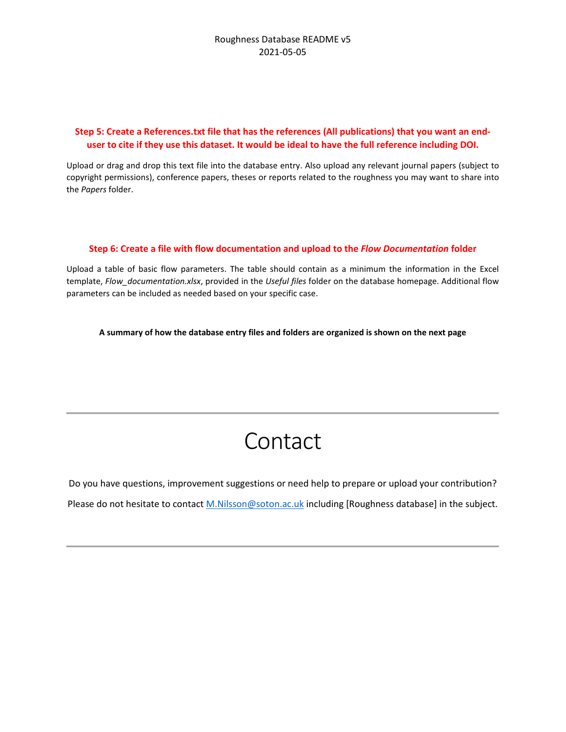## **Step 5: Create a References.txt file that has the references (All publications) that you want an enduser to cite if they use this dataset. It would be ideal to have the full reference including DOI.**

Upload or drag and drop this text file into the database entry. Also upload any relevant journal papers (subject to copyright permissions), conference papers, theses or reports related to the roughness you may want to share into the *Papers* folder.

## **Step 6: Create a file with flow documentation and upload to the** *Flow Documentation* **folder**

Upload a table of basic flow parameters. The table should contain as a minimum the information in the Excel template, *Flow\_documentation.xlsx*, provided in the *Useful files* folder on the database homepage. Additional flow parameters can be included as needed based on your specific case.

**A summary of how the database entry files and folders are organized is shown on the next page**

# Contact

Do you have questions, improvement suggestions or need help to prepare or upload your contribution? Please do not hesitate to contact [M.Nilsson@soton.ac.uk](mailto:M.Nilsson@soton.ac.uk) including [Roughness database] in the subject.